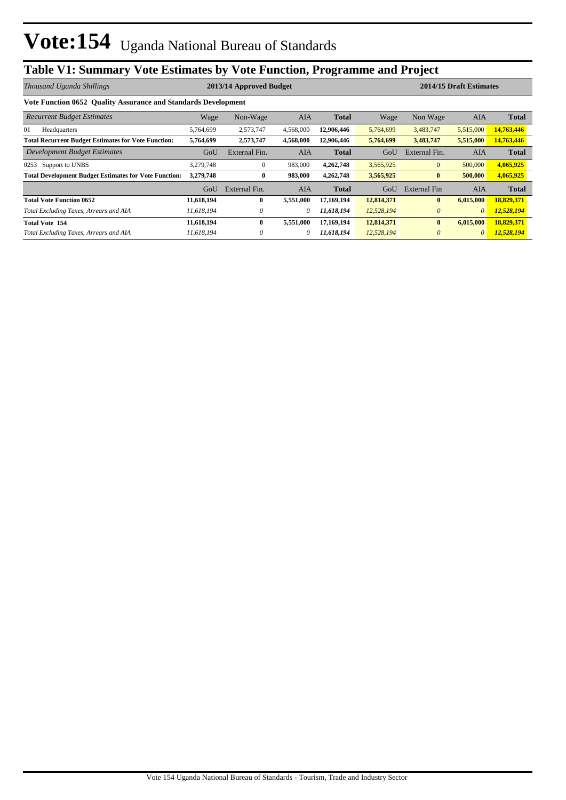## **Table V1: Summary Vote Estimates by Vote Function, Programme and Project**

| Thousand Uganda Shillings                                      |            | 2013/14 Approved Budget |           |              | 2014/15 Draft Estimates |               |            |              |
|----------------------------------------------------------------|------------|-------------------------|-----------|--------------|-------------------------|---------------|------------|--------------|
| Vote Function 0652 Ouality Assurance and Standards Development |            |                         |           |              |                         |               |            |              |
| <b>Recurrent Budget Estimates</b>                              | Wage       | Non-Wage                | AIA       | <b>Total</b> | Wage                    | Non Wage      | AIA        | <b>Total</b> |
| 01<br>Headquarters                                             | 5,764,699  | 2,573,747               | 4,568,000 | 12,906,446   | 5,764,699               | 3,483,747     | 5,515,000  | 14,763,446   |
| <b>Total Recurrent Budget Estimates for Vote Function:</b>     | 5,764,699  | 2,573,747               | 4,568,000 | 12,906,446   | 5,764,699               | 3,483,747     | 5,515,000  | 14,763,446   |
| Development Budget Estimates                                   | GoU        | External Fin.           | AIA       | <b>Total</b> | GoU                     | External Fin. | <b>AIA</b> | <b>Total</b> |
| Support to UNBS<br>0253                                        | 3,279,748  | $\mathbf{0}$            | 983,000   | 4,262,748    | 3,565,925               | $\mathbf{0}$  | 500,000    | 4,065,925    |
| <b>Total Development Budget Estimates for Vote Function:</b>   | 3,279,748  | $\bf{0}$                | 983,000   | 4,262,748    | 3,565,925               | $\bf{0}$      | 500,000    | 4,065,925    |
|                                                                | GoU        | External Fin.           | AIA       | <b>Total</b> | GoU                     | External Fin  | AIA        | <b>Total</b> |
| <b>Total Vote Function 0652</b>                                | 11,618,194 | $\mathbf{0}$            | 5,551,000 | 17,169,194   | 12,814,371              | $\mathbf{0}$  | 6,015,000  | 18,829,371   |
| Total Excluding Taxes, Arrears and AIA                         | 11.618.194 | 0                       | $\theta$  | 11,618,194   | 12,528,194              | $\theta$      | $\theta$   | 12,528,194   |
| <b>Total Vote 154</b>                                          | 11,618,194 | $\mathbf{0}$            | 5,551,000 | 17,169,194   | 12,814,371              | $\bf{0}$      | 6,015,000  | 18,829,371   |
| Total Excluding Taxes, Arrears and AIA                         | 11.618.194 | $\theta$                | 0         | 11,618,194   | 12,528,194              | $\theta$      | $\theta$   | 12,528,194   |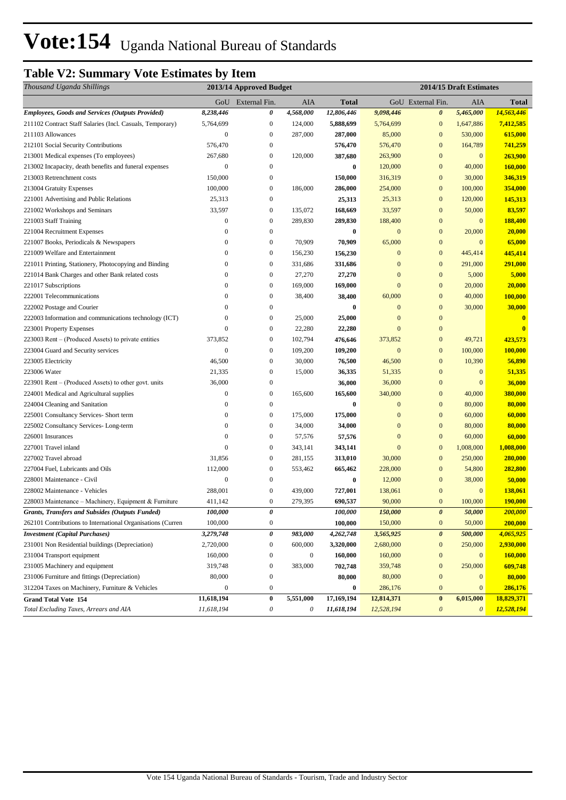# Vote:154 Uganda National Bureau of Standards

### **Table V2: Summary Vote Estimates by Item**

| Thousand Uganda Shillings                                   | 2013/14 Approved Budget |                       |                  |              | 2014/15 Draft Estimates |                       |                       |              |
|-------------------------------------------------------------|-------------------------|-----------------------|------------------|--------------|-------------------------|-----------------------|-----------------------|--------------|
|                                                             |                         | GoU External Fin.     | <b>AIA</b>       | <b>Total</b> |                         | GoU External Fin.     | AIA                   | Total        |
| <b>Employees, Goods and Services (Outputs Provided)</b>     | 8,238,446               | 0                     | 4,568,000        | 12,806,446   | 9,098,446               | $\boldsymbol{\theta}$ | 5,465,000             | 14,563,446   |
| 211102 Contract Staff Salaries (Incl. Casuals, Temporary)   | 5,764,699               | $\boldsymbol{0}$      | 124,000          | 5,888,699    | 5,764,699               | $\boldsymbol{0}$      | 1,647,886             | 7,412,585    |
| 211103 Allowances                                           | $\mathbf{0}$            | $\boldsymbol{0}$      | 287,000          | 287,000      | 85,000                  | $\boldsymbol{0}$      | 530,000               | 615,000      |
| 212101 Social Security Contributions                        | 576,470                 | $\boldsymbol{0}$      |                  | 576,470      | 576,470                 | $\overline{0}$        | 164,789               | 741,259      |
| 213001 Medical expenses (To employees)                      | 267,680                 | $\mathbf{0}$          | 120,000          | 387,680      | 263,900                 | $\boldsymbol{0}$      | $\mathbf{0}$          | 263,900      |
| 213002 Incapacity, death benefits and funeral expenses      | $\mathbf{0}$            | $\boldsymbol{0}$      |                  | 0            | 120,000                 | $\boldsymbol{0}$      | 40,000                | 160,000      |
| 213003 Retrenchment costs                                   | 150,000                 | $\mathbf{0}$          |                  | 150,000      | 316,319                 | $\boldsymbol{0}$      | 30,000                | 346,319      |
| 213004 Gratuity Expenses                                    | 100,000                 | $\bf{0}$              | 186,000          | 286,000      | 254,000                 | $\boldsymbol{0}$      | 100,000               | 354,000      |
| 221001 Advertising and Public Relations                     | 25,313                  | $\boldsymbol{0}$      |                  | 25,313       | 25,313                  | $\boldsymbol{0}$      | 120,000               | 145,313      |
| 221002 Workshops and Seminars                               | 33,597                  | $\boldsymbol{0}$      | 135,072          | 168,669      | 33,597                  | $\boldsymbol{0}$      | 50,000                | 83,597       |
| 221003 Staff Training                                       | $\mathbf{0}$            | $\boldsymbol{0}$      | 289,830          | 289,830      | 188,400                 | $\boldsymbol{0}$      | $\boldsymbol{0}$      | 188,400      |
| 221004 Recruitment Expenses                                 | $\mathbf{0}$            | $\boldsymbol{0}$      |                  | $\bf{0}$     | $\mathbf{0}$            | $\boldsymbol{0}$      | 20,000                | 20,000       |
| 221007 Books, Periodicals & Newspapers                      | $\mathbf{0}$            | $\boldsymbol{0}$      | 70,909           | 70,909       | 65,000                  | $\boldsymbol{0}$      | $\mathbf{0}$          | 65,000       |
| 221009 Welfare and Entertainment                            | $\mathbf{0}$            | $\mathbf{0}$          | 156,230          | 156,230      | $\mathbf{0}$            | $\boldsymbol{0}$      | 445,414               | 445,414      |
| 221011 Printing, Stationery, Photocopying and Binding       | $\Omega$                | $\mathbf{0}$          | 331,686          | 331,686      | $\mathbf{0}$            | $\boldsymbol{0}$      | 291,000               | 291,000      |
| 221014 Bank Charges and other Bank related costs            | $\mathbf{0}$            | $\mathbf{0}$          | 27,270           | 27,270       | $\mathbf{0}$            | $\boldsymbol{0}$      | 5,000                 | 5,000        |
| 221017 Subscriptions                                        | $\mathbf{0}$            | $\boldsymbol{0}$      | 169,000          | 169,000      | $\mathbf{0}$            | $\boldsymbol{0}$      | 20,000                | 20,000       |
| 222001 Telecommunications                                   | $\mathbf{0}$            | $\boldsymbol{0}$      | 38,400           | 38,400       | 60,000                  | $\boldsymbol{0}$      | 40,000                | 100,000      |
| 222002 Postage and Courier                                  | $\overline{0}$          | $\boldsymbol{0}$      |                  | $\bf{0}$     | $\mathbf{0}$            | $\boldsymbol{0}$      | 30,000                | 30,000       |
| 222003 Information and communications technology (ICT)      | $\Omega$                | $\boldsymbol{0}$      | 25,000           | 25,000       | $\mathbf{0}$            | $\boldsymbol{0}$      |                       | $\bf{0}$     |
| 223001 Property Expenses                                    | $\Omega$                | $\boldsymbol{0}$      | 22,280           | 22,280       | $\overline{0}$          | $\boldsymbol{0}$      |                       | $\mathbf{0}$ |
| 223003 Rent – (Produced Assets) to private entities         | 373,852                 | $\boldsymbol{0}$      | 102,794          | 476,646      | 373,852                 | $\boldsymbol{0}$      | 49,721                | 423,573      |
| 223004 Guard and Security services                          | $\mathbf{0}$            | $\boldsymbol{0}$      | 109,200          | 109,200      | $\mathbf{0}$            | $\overline{0}$        | 100,000               | 100,000      |
| 223005 Electricity                                          | 46,500                  | $\mathbf{0}$          | 30,000           | 76,500       | 46,500                  | $\boldsymbol{0}$      | 10,390                | 56,890       |
| 223006 Water                                                | 21,335                  | $\boldsymbol{0}$      | 15,000           | 36,335       | 51,335                  | $\boldsymbol{0}$      | $\mathbf{0}$          | 51,335       |
| 223901 Rent – (Produced Assets) to other govt. units        | 36,000                  | $\boldsymbol{0}$      |                  | 36,000       | 36,000                  | $\boldsymbol{0}$      | $\mathbf{0}$          | 36,000       |
| 224001 Medical and Agricultural supplies                    | $\boldsymbol{0}$        | $\bf{0}$              | 165,600          | 165,600      | 340,000                 | $\boldsymbol{0}$      | 40,000                | 380,000      |
| 224004 Cleaning and Sanitation                              | $\mathbf{0}$            | $\bf{0}$              |                  | $\bf{0}$     | $\boldsymbol{0}$        | $\boldsymbol{0}$      | 80,000                | 80,000       |
| 225001 Consultancy Services- Short term                     | $\mathbf{0}$            | $\boldsymbol{0}$      | 175,000          | 175,000      | $\boldsymbol{0}$        | $\boldsymbol{0}$      | 60,000                | 60,000       |
| 225002 Consultancy Services-Long-term                       | $\overline{0}$          | $\boldsymbol{0}$      | 34,000           | 34,000       | $\mathbf{0}$            | $\boldsymbol{0}$      | 80,000                | 80,000       |
| 226001 Insurances                                           | $\mathbf{0}$            | $\boldsymbol{0}$      | 57,576           | 57,576       | $\mathbf{0}$            | $\boldsymbol{0}$      | 60,000                | 60,000       |
| 227001 Travel inland                                        | $\overline{0}$          | $\boldsymbol{0}$      | 343,141          | 343,141      | $\mathbf{0}$            | $\boldsymbol{0}$      | 1,008,000             | 1,008,000    |
| 227002 Travel abroad                                        | 31,856                  | $\mathbf{0}$          | 281,155          | 313,010      | 30,000                  | $\boldsymbol{0}$      | 250,000               | 280,000      |
| 227004 Fuel, Lubricants and Oils                            | 112,000                 | $\mathbf{0}$          | 553,462          | 665,462      | 228,000                 | $\boldsymbol{0}$      | 54,800                | 282,800      |
| 228001 Maintenance - Civil                                  | $\mathbf{0}$            | $\mathbf{0}$          |                  | $\bf{0}$     | 12,000                  | $\boldsymbol{0}$      | 38,000                | 50,000       |
| 228002 Maintenance - Vehicles                               | 288,001                 | $\bf{0}$              | 439,000          | 727,001      | 138,061                 | $\boldsymbol{0}$      | $\mathbf{0}$          | 138,061      |
| 228003 Maintenance - Machinery, Equipment & Furniture       | 411,142                 | $\boldsymbol{0}$      | 279,395          | 690,537      | 90,000                  | $\overline{0}$        | 100,000               | 190,000      |
| Grants, Transfers and Subsides (Outputs Funded)             | 100,000                 | $\pmb{\theta}$        |                  | 100,000      | 150,000                 | $\boldsymbol{\theta}$ | 50,000                | 200,000      |
| 262101 Contributions to International Organisations (Curren | 100,000                 | $\boldsymbol{0}$      |                  | 100,000      | 150,000                 | $\boldsymbol{0}$      | 50,000                | 200,000      |
| <b>Investment</b> (Capital Purchases)                       | 3,279,748               | $\pmb{\theta}$        | 983,000          | 4,262,748    | 3,565,925               | $\boldsymbol{\theta}$ | 500,000               | 4,065,925    |
| 231001 Non Residential buildings (Depreciation)             | 2,720,000               | $\boldsymbol{0}$      | 600,000          | 3,320,000    | 2,680,000               | $\boldsymbol{0}$      | 250,000               | 2,930,000    |
| 231004 Transport equipment                                  | 160,000                 | $\boldsymbol{0}$      | $\boldsymbol{0}$ | 160,000      | 160,000                 | $\boldsymbol{0}$      | $\bf{0}$              | 160,000      |
| 231005 Machinery and equipment                              | 319,748                 | $\boldsymbol{0}$      | 383,000          | 702,748      | 359,748                 | $\mathbf{0}$          | 250,000               | 609,748      |
| 231006 Furniture and fittings (Depreciation)                | 80,000                  | $\boldsymbol{0}$      |                  | 80,000       | 80,000                  | $\boldsymbol{0}$      | $\mathbf{0}$          | 80,000       |
| 312204 Taxes on Machinery, Furniture & Vehicles             | 0                       | $\boldsymbol{0}$      |                  | $\bf{0}$     | 286,176                 | $\boldsymbol{0}$      | $\bf{0}$              | 286,176      |
| <b>Grand Total Vote 154</b>                                 | 11,618,194              | $\pmb{0}$             | 5,551,000        | 17,169,194   | 12,814,371              | $\boldsymbol{0}$      | 6,015,000             | 18,829,371   |
| Total Excluding Taxes, Arrears and AIA                      | 11,618,194              | $\boldsymbol{\theta}$ | 0                | 11,618,194   | 12,528,194              | $\boldsymbol{\theta}$ | $\boldsymbol{\theta}$ | 12,528,194   |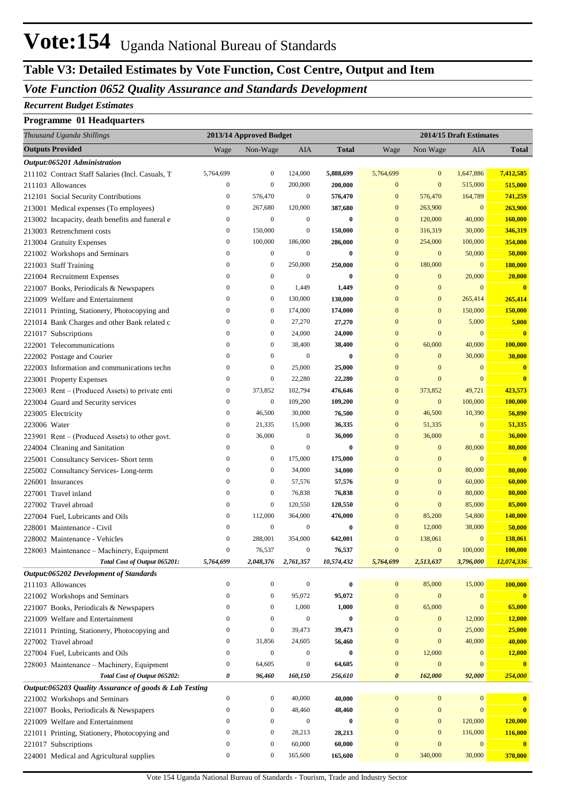## **Vote:154** Uganda National Bureau of Standards

## **Table V3: Detailed Estimates by Vote Function, Cost Centre, Output and Item**

#### *Vote Function 0652 Quality Assurance and Standards Development*

#### *Recurrent Budget Estimates*

#### **Programme 01 Headquarters**

| Thousand Uganda Shillings                              | 2013/14 Approved Budget |                  |                  | 2014/15 Draft Estimates |                       |                  |              |                         |
|--------------------------------------------------------|-------------------------|------------------|------------------|-------------------------|-----------------------|------------------|--------------|-------------------------|
| <b>Outputs Provided</b>                                | Wage                    | Non-Wage         | AIA              | <b>Total</b>            | Wage                  | Non Wage         | AIA          | <b>Total</b>            |
| Output:065201 Administration                           |                         |                  |                  |                         |                       |                  |              |                         |
| 211102 Contract Staff Salaries (Incl. Casuals, T       | 5,764,699               | $\boldsymbol{0}$ | 124,000          | 5,888,699               | 5,764,699             | $\bf{0}$         | 1,647,886    | 7,412,585               |
| 211103 Allowances                                      | $\boldsymbol{0}$        | $\mathbf{0}$     | 200,000          | 200,000                 | $\mathbf{0}$          | $\mathbf{0}$     | 515,000      | 515,000                 |
| 212101 Social Security Contributions                   | $\boldsymbol{0}$        | 576,470          | $\boldsymbol{0}$ | 576,470                 | $\mathbf{0}$          | 576,470          | 164,789      | 741,259                 |
| 213001 Medical expenses (To employees)                 | $\boldsymbol{0}$        | 267,680          | 120,000          | 387,680                 | $\mathbf{0}$          | 263,900          | $\mathbf{0}$ | 263,900                 |
| 213002 Incapacity, death benefits and funeral e        | $\boldsymbol{0}$        | $\boldsymbol{0}$ | $\boldsymbol{0}$ | $\bf{0}$                | $\mathbf{0}$          | 120,000          | 40,000       | 160,000                 |
| 213003 Retrenchment costs                              | $\boldsymbol{0}$        | 150,000          | $\boldsymbol{0}$ | 150,000                 | $\mathbf{0}$          | 316,319          | 30,000       | 346,319                 |
| 213004 Gratuity Expenses                               | $\boldsymbol{0}$        | 100,000          | 186,000          | 286,000                 | $\mathbf{0}$          | 254,000          | 100,000      | 354,000                 |
| 221002 Workshops and Seminars                          | $\boldsymbol{0}$        | $\boldsymbol{0}$ | $\boldsymbol{0}$ | $\bf{0}$                | $\mathbf{0}$          | $\bf{0}$         | 50,000       | 50,000                  |
| 221003 Staff Training                                  | $\boldsymbol{0}$        | $\boldsymbol{0}$ | 250,000          | 250,000                 | $\mathbf{0}$          | 180,000          | $\mathbf{0}$ | 180,000                 |
| 221004 Recruitment Expenses                            | $\boldsymbol{0}$        | $\boldsymbol{0}$ | $\mathbf{0}$     | $\bf{0}$                | $\mathbf{0}$          | $\bf{0}$         | 20,000       | 20,000                  |
| 221007 Books, Periodicals & Newspapers                 | $\boldsymbol{0}$        | $\boldsymbol{0}$ | 1,449            | 1,449                   | $\mathbf{0}$          | $\mathbf{0}$     | $\mathbf{0}$ | $\overline{\mathbf{0}}$ |
| 221009 Welfare and Entertainment                       | $\boldsymbol{0}$        | $\mathbf{0}$     | 130,000          | 130,000                 | $\mathbf{0}$          | $\mathbf{0}$     | 265,414      | 265,414                 |
| 221011 Printing, Stationery, Photocopying and          | $\boldsymbol{0}$        | $\boldsymbol{0}$ | 174,000          | 174,000                 | $\mathbf{0}$          | $\mathbf{0}$     | 150,000      | 150,000                 |
| 221014 Bank Charges and other Bank related c           | $\boldsymbol{0}$        | $\boldsymbol{0}$ | 27,270           | 27,270                  | $\mathbf{0}$          | $\mathbf{0}$     | 5,000        | 5,000                   |
| 221017 Subscriptions                                   | $\boldsymbol{0}$        | $\boldsymbol{0}$ | 24,000           | 24,000                  | $\mathbf{0}$          | $\mathbf{0}$     | $\mathbf{0}$ | $\overline{\mathbf{0}}$ |
| 222001 Telecommunications                              | $\boldsymbol{0}$        | $\boldsymbol{0}$ | 38,400           | 38,400                  | $\mathbf{0}$          | 60,000           | 40,000       | 100,000                 |
| 222002 Postage and Courier                             | $\boldsymbol{0}$        | $\boldsymbol{0}$ | $\boldsymbol{0}$ | $\bf{0}$                | $\mathbf{0}$          | $\mathbf{0}$     | 30,000       | 30,000                  |
| 222003 Information and communications techn            | $\boldsymbol{0}$        | $\boldsymbol{0}$ | 25,000           | 25,000                  | $\mathbf{0}$          | $\mathbf{0}$     | $\mathbf{0}$ | $\mathbf{0}$            |
| 223001 Property Expenses                               | $\boldsymbol{0}$        | $\boldsymbol{0}$ | 22,280           | 22,280                  | $\mathbf{0}$          | $\mathbf{0}$     | $\mathbf{0}$ | $\mathbf{0}$            |
| 223003 Rent – (Produced Assets) to private enti        | $\boldsymbol{0}$        | 373,852          | 102,794          | 476,646                 | $\mathbf{0}$          | 373,852          | 49,721       | 423,573                 |
| 223004 Guard and Security services                     | $\mathbf{0}$            | $\boldsymbol{0}$ | 109,200          | 109,200                 | $\mathbf{0}$          | $\boldsymbol{0}$ | 100,000      | 100,000                 |
| 223005 Electricity                                     | $\boldsymbol{0}$        | 46,500           | 30,000           | 76,500                  | $\mathbf{0}$          | 46,500           | 10,390       | 56,890                  |
| 223006 Water                                           | $\boldsymbol{0}$        | 21,335           | 15,000           | 36,335                  | $\mathbf{0}$          | 51,335           | $\mathbf{0}$ | 51,335                  |
| 223901 Rent – (Produced Assets) to other govt.         | $\boldsymbol{0}$        | 36,000           | 0                | 36,000                  | $\mathbf{0}$          | 36,000           | $\mathbf{0}$ | 36,000                  |
| 224004 Cleaning and Sanitation                         | $\boldsymbol{0}$        | $\boldsymbol{0}$ | $\overline{0}$   | $\bf{0}$                | $\mathbf{0}$          | $\bf{0}$         | 80,000       | 80,000                  |
| 225001 Consultancy Services- Short term                | $\boldsymbol{0}$        | $\boldsymbol{0}$ | 175,000          | 175,000                 | $\mathbf{0}$          | $\mathbf{0}$     | $\mathbf{0}$ | $\mathbf{0}$            |
| 225002 Consultancy Services-Long-term                  | $\boldsymbol{0}$        | $\boldsymbol{0}$ | 34,000           | 34,000                  | $\mathbf{0}$          | $\mathbf{0}$     | 80,000       | 80,000                  |
| 226001 Insurances                                      | $\boldsymbol{0}$        | $\boldsymbol{0}$ | 57,576           | 57,576                  | $\mathbf{0}$          | $\mathbf{0}$     | 60,000       | 60,000                  |
| 227001 Travel inland                                   | $\boldsymbol{0}$        | $\boldsymbol{0}$ | 76,838           | 76,838                  | $\mathbf{0}$          | $\mathbf{0}$     | 80,000       | 80,000                  |
| 227002 Travel abroad                                   | $\boldsymbol{0}$        | $\mathbf{0}$     | 120,550          | 120,550                 | $\mathbf{0}$          | $\mathbf{0}$     | 85,000       | 85,000                  |
| 227004 Fuel, Lubricants and Oils                       | $\boldsymbol{0}$        | 112,000          | 364,000          | 476,000                 | $\mathbf{0}$          | 85,200           | 54,800       | 140,000                 |
| 228001 Maintenance - Civil                             | $\boldsymbol{0}$        | $\boldsymbol{0}$ | $\boldsymbol{0}$ | $\boldsymbol{0}$        | $\mathbf{0}$          | 12,000           | 38,000       | 50,000                  |
| 228002 Maintenance - Vehicles                          | $\boldsymbol{0}$        | 288,001          | 354,000          | 642,001                 | $\mathbf{0}$          | 138,061          | $\mathbf{0}$ | 138,061                 |
| 228003 Maintenance - Machinery, Equipment              | $\mathbf{0}$            | 76,537           | $\boldsymbol{0}$ | 76,537                  | $\mathbf{0}$          | $\boldsymbol{0}$ | 100,000      | 100,000                 |
| Total Cost of Output 065201:                           | 5,764,699               | 2,048,376        | 2,761,357        | 10,574,432              | 5,764,699             | 2,513,637        | 3,796,000    | 12,074,336              |
| Output:065202 Development of Standards                 |                         |                  |                  |                         |                       |                  |              |                         |
| 211103 Allowances                                      | $\boldsymbol{0}$        | $\boldsymbol{0}$ | $\boldsymbol{0}$ | $\bf{0}$                | $\mathbf{0}$          | 85,000           | 15,000       | 100,000                 |
| 221002 Workshops and Seminars                          | $\boldsymbol{0}$        | $\boldsymbol{0}$ | 95,072           | 95,072                  | $\mathbf{0}$          | $\boldsymbol{0}$ | $\mathbf{0}$ | $\mathbf{0}$            |
| 221007 Books, Periodicals & Newspapers                 | $\boldsymbol{0}$        | $\boldsymbol{0}$ | 1,000            | 1,000                   | $\boldsymbol{0}$      | 65,000           | $\mathbf{0}$ | 65,000                  |
| 221009 Welfare and Entertainment                       | $\boldsymbol{0}$        | $\boldsymbol{0}$ | $\boldsymbol{0}$ | $\pmb{0}$               | $\mathbf{0}$          | $\mathbf{0}$     | 12,000       | 12,000                  |
| 221011 Printing, Stationery, Photocopying and          | $\boldsymbol{0}$        | $\boldsymbol{0}$ | 39,473           | 39,473                  | $\mathbf{0}$          | $\boldsymbol{0}$ | 25,000       | 25,000                  |
| 227002 Travel abroad                                   | $\boldsymbol{0}$        | 31,856           | 24,605           | 56,460                  | $\mathbf{0}$          | $\mathbf{0}$     | 40,000       | 40,000                  |
| 227004 Fuel, Lubricants and Oils                       | $\boldsymbol{0}$        | $\boldsymbol{0}$ | $\boldsymbol{0}$ | $\bf{0}$                | $\boldsymbol{0}$      | 12,000           | $\mathbf{0}$ | 12,000                  |
| 228003 Maintenance - Machinery, Equipment              | $\boldsymbol{0}$        | 64,605           | $\boldsymbol{0}$ | 64,605                  | $\mathbf{0}$          | $\boldsymbol{0}$ | $\mathbf{0}$ | $\bf{0}$                |
| Total Cost of Output 065202:                           | 0                       | 96,460           | 160,150          | 256,610                 | $\boldsymbol{\theta}$ | 162,000          | 92,000       | 254,000                 |
| Output:065203 Quality Assurance of goods & Lab Testing |                         |                  |                  |                         |                       |                  |              |                         |
| 221002 Workshops and Seminars                          | $\boldsymbol{0}$        | $\boldsymbol{0}$ | 40,000           | 40,000                  | $\mathbf{0}$          | $\boldsymbol{0}$ | $\bf{0}$     | $\mathbf{0}$            |
| 221007 Books, Periodicals & Newspapers                 | $\boldsymbol{0}$        | $\boldsymbol{0}$ | 48,460           | 48,460                  | $\mathbf{0}$          | $\boldsymbol{0}$ | $\mathbf{0}$ | $\mathbf{0}$            |
| 221009 Welfare and Entertainment                       | $\boldsymbol{0}$        | $\boldsymbol{0}$ | $\boldsymbol{0}$ | $\bf{0}$                | $\mathbf{0}$          | $\boldsymbol{0}$ | 120,000      | 120,000                 |
| 221011 Printing, Stationery, Photocopying and          | $\boldsymbol{0}$        | $\boldsymbol{0}$ | 28,213           | 28,213                  | $\mathbf{0}$          | $\mathbf{0}$     | 116,000      | 116,000                 |
| 221017 Subscriptions                                   | $\boldsymbol{0}$        | $\boldsymbol{0}$ | 60,000           | 60,000                  | $\mathbf{0}$          | $\mathbf{0}$     | $\mathbf{0}$ | $\mathbf{0}$            |
| 224001 Medical and Agricultural supplies               | $\boldsymbol{0}$        | $\boldsymbol{0}$ | 165,600          | 165,600                 | $\bf{0}$              | 340,000          | 30,000       | 370,000                 |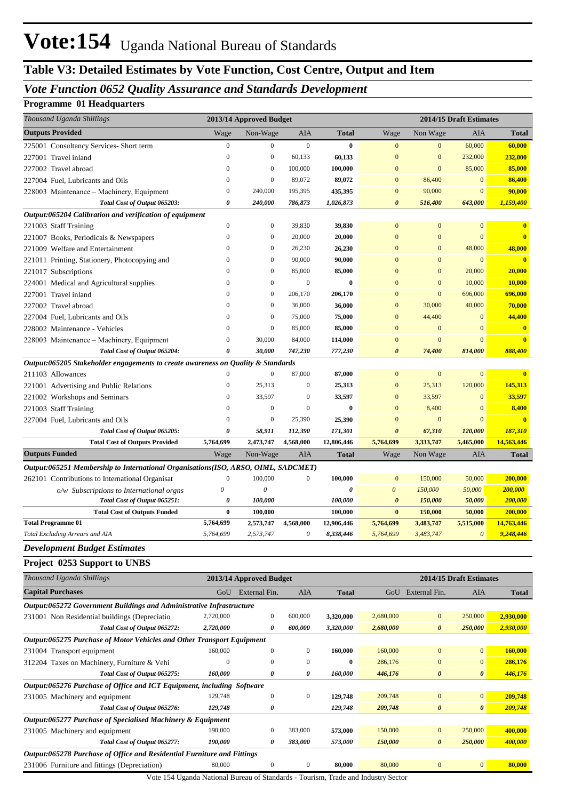## **Table V3: Detailed Estimates by Vote Function, Cost Centre, Output and Item**

#### *Vote Function 0652 Quality Assurance and Standards Development*

#### **Programme 01 Headquarters**

| Thousand Uganda Shillings                                                         | 2013/14 Approved Budget |                         |                  |                            | 2014/15 Draft Estimates |                       |                         |                            |
|-----------------------------------------------------------------------------------|-------------------------|-------------------------|------------------|----------------------------|-------------------------|-----------------------|-------------------------|----------------------------|
| <b>Outputs Provided</b>                                                           | Wage                    | Non-Wage                | <b>AIA</b>       | Total                      | Wage                    | Non Wage              | AIA                     | <b>Total</b>               |
| 225001 Consultancy Services- Short term                                           | $\boldsymbol{0}$        | $\boldsymbol{0}$        | $\boldsymbol{0}$ | $\bf{0}$                   | $\mathbf{0}$            | $\mathbf{0}$          | 60,000                  | 60,000                     |
| 227001 Travel inland                                                              | $\boldsymbol{0}$        | $\boldsymbol{0}$        | 60,133           | 60,133                     | $\bf{0}$                | $\boldsymbol{0}$      | 232,000                 | 232,000                    |
| 227002 Travel abroad                                                              | $\boldsymbol{0}$        | $\boldsymbol{0}$        | 100,000          | 100,000                    | $\Omega$                | $\mathbf{0}$          | 85,000                  | 85,000                     |
| 227004 Fuel, Lubricants and Oils                                                  | $\boldsymbol{0}$        | $\boldsymbol{0}$        | 89,072           | 89,072                     | $\bf{0}$                | 86,400                | $\mathbf{0}$            | 86,400                     |
| 228003 Maintenance – Machinery, Equipment                                         | $\boldsymbol{0}$        | 240,000                 | 195,395          | 435,395                    | $\bf{0}$                | 90,000                | $\mathbf{0}$            | 90,000                     |
| Total Cost of Output 065203:                                                      | 0                       | 240,000                 | 786,873          | 1,026,873                  | $\boldsymbol{\theta}$   | 516,400               | 643,000                 | 1,159,400                  |
| Output:065204 Calibration and verification of equipment                           |                         |                         |                  |                            |                         |                       |                         |                            |
| 221003 Staff Training                                                             | $\boldsymbol{0}$        | $\boldsymbol{0}$        | 39,830           | 39,830                     | $\bf{0}$                | $\boldsymbol{0}$      | $\mathbf{0}$            | $\bf{0}$                   |
| 221007 Books, Periodicals & Newspapers                                            | $\boldsymbol{0}$        | $\boldsymbol{0}$        | 20,000           | 20,000                     | $\mathbf{0}$            | $\boldsymbol{0}$      | $\overline{0}$          | $\overline{\mathbf{0}}$    |
| 221009 Welfare and Entertainment                                                  | $\boldsymbol{0}$        | $\boldsymbol{0}$        | 26,230           | 26,230                     | $\mathbf{0}$            | $\boldsymbol{0}$      | 48,000                  | 48,000                     |
| 221011 Printing, Stationery, Photocopying and                                     | $\boldsymbol{0}$        | $\boldsymbol{0}$        | 90,000           | 90,000                     | $\mathbf{0}$            | $\boldsymbol{0}$      | $\mathbf{0}$            | $\overline{\mathbf{0}}$    |
| 221017 Subscriptions                                                              | $\mathbf{0}$            | $\boldsymbol{0}$        | 85,000           | 85,000                     | $\mathbf{0}$            | $\boldsymbol{0}$      | 20,000                  | 20,000                     |
| 224001 Medical and Agricultural supplies                                          | $\mathbf{0}$            | $\boldsymbol{0}$        | $\boldsymbol{0}$ | $\bf{0}$                   | $\mathbf{0}$            | $\boldsymbol{0}$      | 10,000                  | 10,000                     |
| 227001 Travel inland                                                              | $\mathbf{0}$            | $\boldsymbol{0}$        | 206,170          | 206,170                    | $\mathbf{0}$            | $\boldsymbol{0}$      | 696,000                 | 696,000                    |
| 227002 Travel abroad                                                              | $\mathbf{0}$            | $\boldsymbol{0}$        | 36,000           | 36,000                     | $\bf{0}$                | 30,000                | 40,000                  | 70,000                     |
| 227004 Fuel, Lubricants and Oils                                                  | $\boldsymbol{0}$        | $\boldsymbol{0}$        | 75,000           | 75,000                     | $\bf{0}$                | 44,400                | $\mathbf{0}$            | 44,400                     |
| 228002 Maintenance - Vehicles                                                     | $\boldsymbol{0}$        | $\boldsymbol{0}$        | 85,000           | 85,000                     | $\bf{0}$                | $\mathbf{0}$          | $\mathbf{0}$            | $\mathbf{0}$               |
| 228003 Maintenance – Machinery, Equipment                                         | $\boldsymbol{0}$        | 30,000                  | 84,000           | 114,000                    | $\mathbf{0}$            | $\mathbf{0}$          | $\mathbf{0}$            | $\overline{\mathbf{0}}$    |
| Total Cost of Output 065204:                                                      | 0                       | 30,000                  | 747,230          | 777,230                    | $\boldsymbol{\theta}$   | 74,400                | 814,000                 | 888,400                    |
| Output:065205 Stakeholder engagements to create awareness on Quality & Standards  |                         |                         |                  |                            |                         |                       |                         |                            |
| 211103 Allowances                                                                 | $\boldsymbol{0}$        | $\mathbf{0}$            | 87,000           | 87,000                     | $\bf{0}$                | $\boldsymbol{0}$      | $\mathbf{0}$            | $\mathbf{0}$               |
| 221001 Advertising and Public Relations                                           | $\boldsymbol{0}$        | 25,313                  | $\boldsymbol{0}$ | 25,313                     | $\boldsymbol{0}$        | 25,313                | 120,000                 | 145,313                    |
| 221002 Workshops and Seminars                                                     | $\boldsymbol{0}$        | 33,597                  | $\mathbf{0}$     | 33,597                     | $\bf{0}$                | 33,597                | $\mathbf{0}$            | 33,597                     |
| 221003 Staff Training                                                             | $\theta$                | $\mathbf{0}$            | $\mathbf{0}$     | $\bf{0}$                   | $\bf{0}$                | 8,400                 | $\mathbf{0}$            | 8,400                      |
| 227004 Fuel, Lubricants and Oils                                                  | $\theta$                | $\mathbf{0}$            | 25,390           | 25,390                     | $\bf{0}$                | $\boldsymbol{0}$      | $\mathbf{0}$            | $\mathbf{0}$               |
| Total Cost of Output 065205:                                                      | 0                       | 58,911                  | 112,390          | 171,301                    | 0                       | 67,310                | 120,000                 | <b>187,310</b>             |
| <b>Total Cost of Outputs Provided</b><br><b>Outputs Funded</b>                    | 5,764,699<br>Wage       | 2,473,747<br>Non-Wage   | 4,568,000<br>AIA | 12,806,446<br><b>Total</b> | 5,764,699<br>Wage       | 3,333,747<br>Non Wage | 5,465,000<br>AIA        | 14,563,446<br><b>Total</b> |
| Output:065251 Membership to International Organisations(ISO, ARSO, OIML, SADCMET) |                         |                         |                  |                            |                         |                       |                         |                            |
| 262101 Contributions to International Organisat                                   | $\mathbf{0}$            | 100,000                 | 0                | 100,000                    | $\mathbf{0}$            | 150,000               | 50,000                  | 200,000                    |
| o/w Subscriptions to International orgns                                          | 0                       | 0                       |                  | 0                          | $\boldsymbol{\theta}$   | 150,000               | 50,000                  | 200,000                    |
| Total Cost of Output 065251:                                                      | 0                       | 100,000                 |                  | 100,000                    | $\boldsymbol{\theta}$   | 150,000               | 50,000                  | 200,000                    |
| <b>Total Cost of Outputs Funded</b>                                               | $\bf{0}$                | 100,000                 |                  | 100,000                    | $\bf{0}$                | 150,000               | 50,000                  | 200,000                    |
| <b>Total Programme 01</b>                                                         | 5,764,699               | 2,573,747               | 4,568,000        | 12,906,446                 | 5,764,699               | 3,483,747             | 5,515,000               | 14,763,446                 |
| <b>Total Excluding Arrears and AIA</b>                                            | 5,764,699               | 2,573,747               | 0                | 8,338,446                  | 5,764,699               | 3,483,747             | $\boldsymbol{\theta}$   | 9,248,446                  |
| <b>Development Budget Estimates</b>                                               |                         |                         |                  |                            |                         |                       |                         |                            |
| Project 0253 Support to UNBS                                                      |                         |                         |                  |                            |                         |                       |                         |                            |
| Thousand Uganda Shillings                                                         |                         | 2013/14 Approved Budget |                  |                            |                         |                       | 2014/15 Draft Estimates |                            |
| <b>Capital Purchases</b>                                                          |                         |                         |                  |                            |                         |                       |                         |                            |
|                                                                                   |                         | GoU External Fin.       | AIA              | <b>Total</b>               |                         | GoU External Fin.     | AIA                     | <b>Total</b>               |
| Output:065272 Government Buildings and Administrative Infrastructure              | 2,720,000               | $\boldsymbol{0}$        | 600,000          | 3,320,000                  | 2,680,000               | $\boldsymbol{0}$      | 250,000                 | 2,930,000                  |
| 231001 Non Residential buildings (Depreciatio<br>Total Cost of Output 065272:     | 2,720,000               | 0                       | 600,000          | 3,320,000                  | 2,680,000               | $\boldsymbol{\theta}$ | 250,000                 | 2,930,000                  |
|                                                                                   |                         |                         |                  |                            |                         |                       |                         |                            |
| Output:065275 Purchase of Motor Vehicles and Other Transport Equipment            | 160,000                 | $\boldsymbol{0}$        | $\mathbf{0}$     | 160,000                    | 160,000                 | $\boldsymbol{0}$      | $\mathbf{0}$            | 160,000                    |
| 231004 Transport equipment                                                        | $\boldsymbol{0}$        | $\mathbf{0}$            | $\boldsymbol{0}$ | $\bf{0}$                   | 286,176                 | $\mathbf{0}$          | $\mathbf{0}$            | 286,176                    |
| 312204 Taxes on Machinery, Furniture & Vehi                                       |                         | 0                       | 0                |                            |                         | $\boldsymbol{\theta}$ | $\boldsymbol{\theta}$   | 446,176                    |
| Total Cost of Output 065275:                                                      | 160,000                 |                         |                  | 160,000                    | 446,176                 |                       |                         |                            |
| Output:065276 Purchase of Office and ICT Equipment, including Software            | 129,748                 | $\boldsymbol{0}$        | $\boldsymbol{0}$ |                            | 209,748                 | $\mathbf{0}$          | $\boldsymbol{0}$        | 209,748                    |
| 231005 Machinery and equipment                                                    | 129,748                 | 0                       |                  | 129,748<br>129,748         |                         | $\pmb{\theta}$        | $\boldsymbol{\theta}$   | 209,748                    |
| Total Cost of Output 065276:                                                      |                         |                         |                  |                            | 209,748                 |                       |                         |                            |
| Output:065277 Purchase of Specialised Machinery & Equipment                       | 190,000                 | $\boldsymbol{0}$        | 383,000          | 573,000                    | 150,000                 | $\mathbf{0}$          | 250,000                 | 400,000                    |
| 231005 Machinery and equipment<br>Total Cost of Output 065277:                    | 190,000                 | 0                       | 383,000          | 573,000                    | 150,000                 | $\boldsymbol{\theta}$ | 250,000                 | 400,000                    |
|                                                                                   |                         |                         |                  |                            |                         |                       |                         |                            |
| Output:065278 Purchase of Office and Residential Furniture and Fittings           | 80,000                  | $\boldsymbol{0}$        | $\boldsymbol{0}$ | 80,000                     | 80,000                  | $\boldsymbol{0}$      | $\mathbf{0}$            | 80,000                     |
| 231006 Furniture and fittings (Depreciation)                                      |                         |                         |                  |                            |                         |                       |                         |                            |

Vote 154 Uganda National Bureau of Standards - Tourism, Trade and Industry Sector